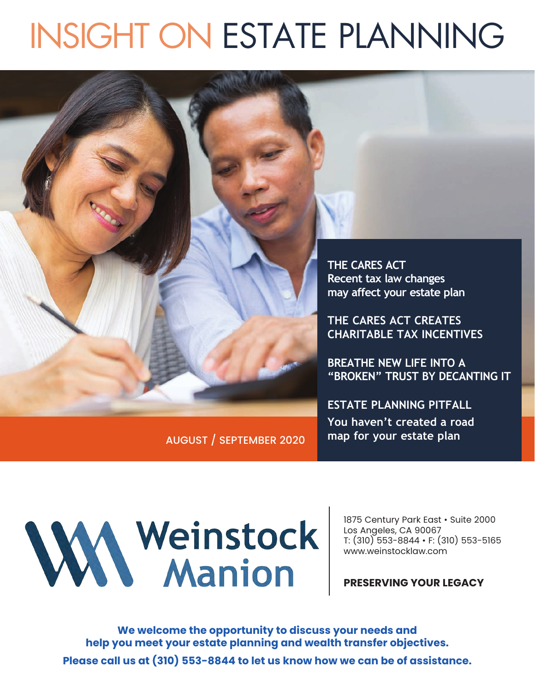# INSIGHT ON ESTATE PLANNING



AUGUST / SEPTEMBER 2020

WWWW.Manion

1875 Century Park East • Suite 2000 Los Angeles, CA 90067 T: (310) 553-8844 • F: (310) 553-5165 www.weinstocklaw.com

**PRESERVING YOUR LEGACY**

**We welcome the opportunity to discuss your needs and help you meet your estate planning and wealth transfer objectives. Please call us at (310) 553-8844 to let us know how we can be of assistance.**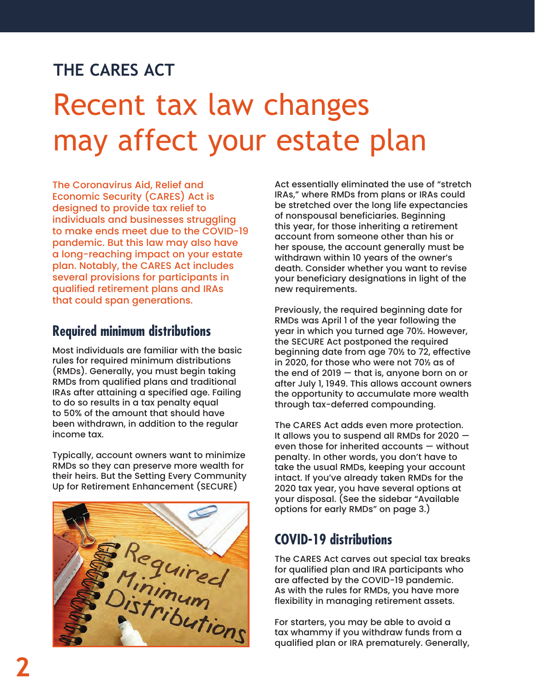### **THE CARES ACT**

## Recent tax law changes may affect your estate plan

The Coronavirus Aid, Relief and Economic Security (CARES) Act is designed to provide tax relief to individuals and businesses struggling to make ends meet due to the COVID-19 pandemic. But this law may also have a long-reaching impact on your estate plan. Notably, the CARES Act includes several provisions for participants in qualified retirement plans and IRAs that could span generations.

#### **Required minimum distributions**

Most individuals are familiar with the basic rules for required minimum distributions (RMDs). Generally, you must begin taking RMDs from qualified plans and traditional IRAs after attaining a specified age. Failing to do so results in a tax penalty equal to 50% of the amount that should have been withdrawn, in addition to the regular income tax.

Typically, account owners want to minimize RMDs so they can preserve more wealth for their heirs. But the Setting Every Community Up for Retirement Enhancement (SECURE)



Act essentially eliminated the use of "stretch IRAs," where RMDs from plans or IRAs could be stretched over the long life expectancies of nonspousal beneficiaries. Beginning this year, for those inheriting a retirement account from someone other than his or her spouse, the account generally must be withdrawn within 10 years of the owner's death. Consider whether you want to revise your beneficiary designations in light of the new requirements.

Previously, the required beginning date for RMDs was April 1 of the year following the year in which you turned age 70½. However, the SECURE Act postponed the required beginning date from age 70½ to 72, effective in 2020, for those who were not 70½ as of the end of 2019 — that is, anyone born on or after July 1, 1949. This allows account owners the opportunity to accumulate more wealth through tax-deferred compounding.

The CARES Act adds even more protection. It allows you to suspend all RMDs for 2020 even those for inherited accounts — without penalty. In other words, you don't have to take the usual RMDs, keeping your account intact. If you've already taken RMDs for the 2020 tax year, you have several options at your disposal. (See the sidebar "Available options for early RMDs" on page 3.)

#### **COVID-19 distributions**

The CARES Act carves out special tax breaks for qualified plan and IRA participants who are affected by the COVID-19 pandemic. As with the rules for RMDs, you have more flexibility in managing retirement assets.

For starters, you may be able to avoid a tax whammy if you withdraw funds from a qualified plan or IRA prematurely. Generally,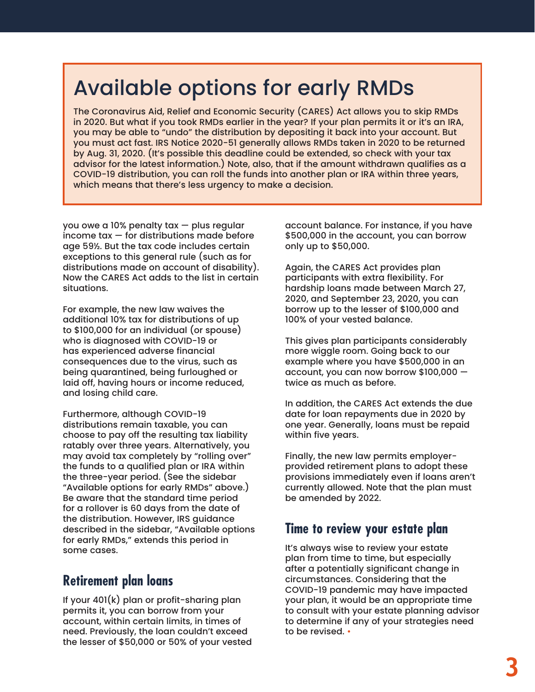## Available options for early RMDs

The Coronavirus Aid, Relief and Economic Security (CARES) Act allows you to skip RMDs in 2020. But what if you took RMDs earlier in the year? If your plan permits it or it's an IRA, you may be able to "undo" the distribution by depositing it back into your account. But you must act fast. IRS Notice 2020-51 generally allows RMDs taken in 2020 to be returned by Aug. 31, 2020. (It's possible this deadline could be extended, so check with your tax advisor for the latest information.) Note, also, that if the amount withdrawn qualifies as a COVID-19 distribution, you can roll the funds into another plan or IRA within three years, which means that there's less urgency to make a decision.

you owe a 10% penalty tax — plus regular  $income tax - for distributions made before$ age 59½. But the tax code includes certain exceptions to this general rule (such as for distributions made on account of disability). Now the CARES Act adds to the list in certain situations.

For example, the new law waives the additional 10% tax for distributions of up to \$100,000 for an individual (or spouse) who is diagnosed with COVID-19 or has experienced adverse financial consequences due to the virus, such as being quarantined, being furloughed or laid off, having hours or income reduced, and losing child care.

Furthermore, although COVID-19 distributions remain taxable, you can choose to pay off the resulting tax liability ratably over three years. Alternatively, you may avoid tax completely by "rolling over" the funds to a qualified plan or IRA within the three-year period. (See the sidebar "Available options for early RMDs" above.) Be aware that the standard time period for a rollover is 60 days from the date of the distribution. However, IRS guidance described in the sidebar, "Available options for early RMDs," extends this period in some cases.

#### **Retirement plan loans**

If your 401(k) plan or profit-sharing plan permits it, you can borrow from your account, within certain limits, in times of need. Previously, the loan couldn't exceed the lesser of \$50,000 or 50% of your vested account balance. For instance, if you have \$500,000 in the account, you can borrow only up to \$50,000.

Again, the CARES Act provides plan participants with extra flexibility. For hardship loans made between March 27, 2020, and September 23, 2020, you can borrow up to the lesser of \$100,000 and 100% of your vested balance.

This gives plan participants considerably more wiggle room. Going back to our example where you have \$500,000 in an account, you can now borrow \$100,000 twice as much as before.

In addition, the CARES Act extends the due date for loan repayments due in 2020 by one year. Generally, loans must be repaid within five years.

Finally, the new law permits employerprovided retirement plans to adopt these provisions immediately even if loans aren't currently allowed. Note that the plan must be amended by 2022.

#### **Time to review your estate plan**

It's always wise to review your estate plan from time to time, but especially after a potentially significant change in circumstances. Considering that the COVID-19 pandemic may have impacted your plan, it would be an appropriate time to consult with your estate planning advisor to determine if any of your strategies need to be revised. •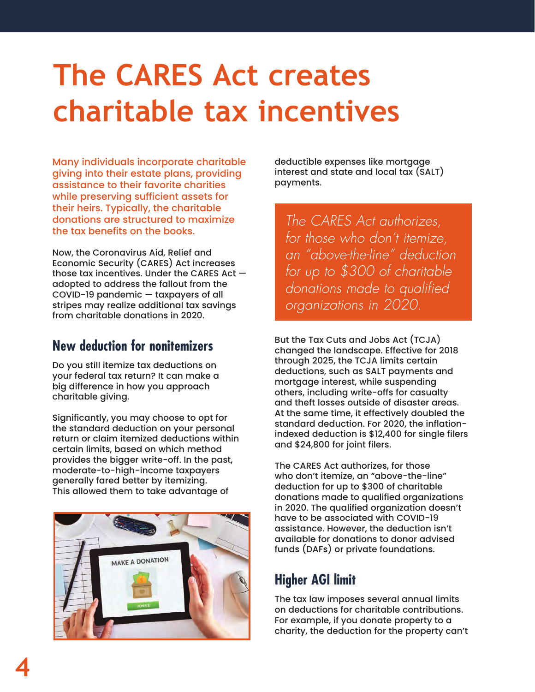## **The CARES Act creates charitable tax incentives**

Many individuals incorporate charitable giving into their estate plans, providing assistance to their favorite charities while preserving sufficient assets for their heirs. Typically, the charitable donations are structured to maximize the tax benefits on the books.

Now, the Coronavirus Aid, Relief and Economic Security (CARES) Act increases those tax incentives. Under the CARES Act adopted to address the fallout from the COVID-19 pandemic — taxpayers of all stripes may realize additional tax savings from charitable donations in 2020.

#### **New deduction for nonitemizers**

Do you still itemize tax deductions on your federal tax return? It can make a big difference in how you approach charitable giving.

Significantly, you may choose to opt for the standard deduction on your personal return or claim itemized deductions within certain limits, based on which method provides the bigger write-off. In the past, moderate-to-high-income taxpayers generally fared better by itemizing. This allowed them to take advantage of



deductible expenses like mortgage interest and state and local tax (SALT) payments.

*The CARES Act authorizes, for those who don't itemize, an "above-the-line" deduction for up to \$300 of charitable donations made to qualified organizations in 2020.* 

But the Tax Cuts and Jobs Act (TCJA) changed the landscape. Effective for 2018 through 2025, the TCJA limits certain deductions, such as SALT payments and mortgage interest, while suspending others, including write-offs for casualty and theft losses outside of disaster areas. At the same time, it effectively doubled the standard deduction. For 2020, the inflationindexed deduction is \$12,400 for single filers and \$24,800 for joint filers.

The CARES Act authorizes, for those who don't itemize, an "above-the-line" deduction for up to \$300 of charitable donations made to qualified organizations in 2020. The qualified organization doesn't have to be associated with COVID-19 assistance. However, the deduction isn't available for donations to donor advised funds (DAFs) or private foundations.

#### **Higher AGI limit**

The tax law imposes several annual limits on deductions for charitable contributions. For example, if you donate property to a charity, the deduction for the property can't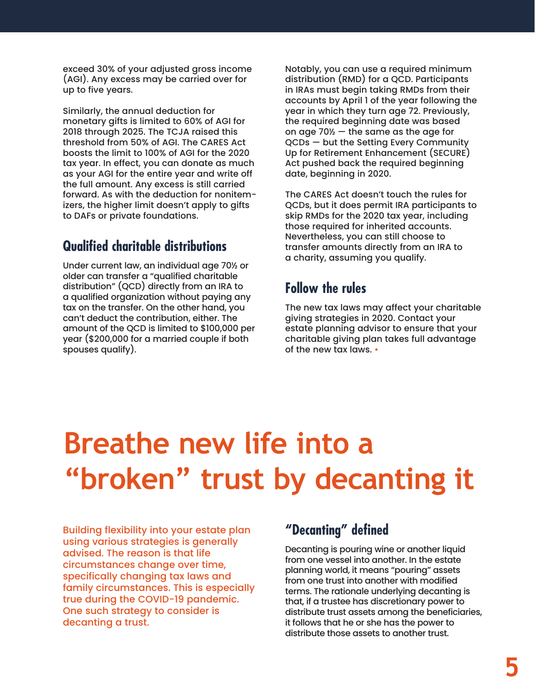exceed 30% of your adjusted gross income (AGI). Any excess may be carried over for up to five years.

Similarly, the annual deduction for monetary gifts is limited to 60% of AGI for 2018 through 2025. The TCJA raised this threshold from 50% of AGI. The CARES Act boosts the limit to 100% of AGI for the 2020 tax year. In effect, you can donate as much as your AGI for the entire year and write off the full amount. Any excess is still carried forward. As with the deduction for nonitemizers, the higher limit doesn't apply to gifts to DAFs or private foundations.

#### **Qualified charitable distributions**

Under current law, an individual age 70½ or older can transfer a "qualified charitable distribution" (QCD) directly from an IRA to a qualified organization without paying any tax on the transfer. On the other hand, you can't deduct the contribution, either. The amount of the QCD is limited to \$100,000 per year (\$200,000 for a married couple if both spouses qualify).

Notably, you can use a required minimum distribution (RMD) for a QCD. Participants in IRAs must begin taking RMDs from their accounts by April 1 of the year following the year in which they turn age 72. Previously, the required beginning date was based on age 70½ — the same as the age for QCDs — but the Setting Every Community Up for Retirement Enhancement (SECURE) Act pushed back the required beginning date, beginning in 2020.

The CARES Act doesn't touch the rules for QCDs, but it does permit IRA participants to skip RMDs for the 2020 tax year, including those required for inherited accounts. Nevertheless, you can still choose to transfer amounts directly from an IRA to a charity, assuming you qualify.

#### **Follow the rules**

The new tax laws may affect your charitable giving strategies in 2020. Contact your estate planning advisor to ensure that your charitable giving plan takes full advantage of the new tax laws. •

## **Breathe new life into a "broken" trust by decanting it**

Building flexibility into your estate plan using various strategies is generally advised. The reason is that life circumstances change over time, specifically changing tax laws and family circumstances. This is especially true during the COVID-19 pandemic. One such strategy to consider is decanting a trust.

#### **"Decanting" defined**

Decanting is pouring wine or another liquid from one vessel into another. In the estate planning world, it means "pouring" assets from one trust into another with modified terms. The rationale underlying decanting is that, if a trustee has discretionary power to distribute trust assets among the beneficiaries, it follows that he or she has the power to distribute those assets to another trust.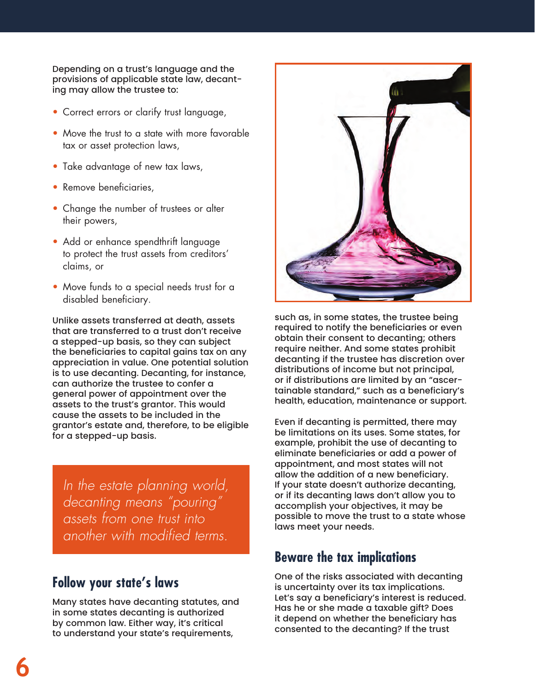Depending on a trust's language and the provisions of applicable state law, decanting may allow the trustee to:

- Correct errors or clarify trust language,
- Move the trust to a state with more favorable tax or asset protection laws,
- Take advantage of new tax laws,
- Remove beneficiaries,
- Change the number of trustees or alter their powers,
- Add or enhance spendthrift language to protect the trust assets from creditors' claims, or
- Move funds to a special needs trust for a disabled beneficiary.

Unlike assets transferred at death, assets that are transferred to a trust don't receive a stepped-up basis, so they can subject the beneficiaries to capital gains tax on any appreciation in value. One potential solution is to use decanting. Decanting, for instance, can authorize the trustee to confer a general power of appointment over the assets to the trust's grantor. This would cause the assets to be included in the grantor's estate and, therefore, to be eligible for a stepped-up basis.

*In the estate planning world, decanting means "pouring" assets from one trust into another with modified terms.*

#### **Follow your state's laws**

Many states have decanting statutes, and in some states decanting is authorized by common law. Either way, it's critical to understand your state's requirements,



such as, in some states, the trustee being required to notify the beneficiaries or even obtain their consent to decanting; others require neither. And some states prohibit decanting if the trustee has discretion over distributions of income but not principal, or if distributions are limited by an "ascertainable standard," such as a beneficiary's health, education, maintenance or support.

Even if decanting is permitted, there may be limitations on its uses. Some states, for example, prohibit the use of decanting to eliminate beneficiaries or add a power of appointment, and most states will not allow the addition of a new beneficiary. If your state doesn't authorize decanting, or if its decanting laws don't allow you to accomplish your objectives, it may be possible to move the trust to a state whose laws meet your needs.

#### **Beware the tax implications**

One of the risks associated with decanting is uncertainty over its tax implications. Let's say a beneficiary's interest is reduced. Has he or she made a taxable gift? Does it depend on whether the beneficiary has consented to the decanting? If the trust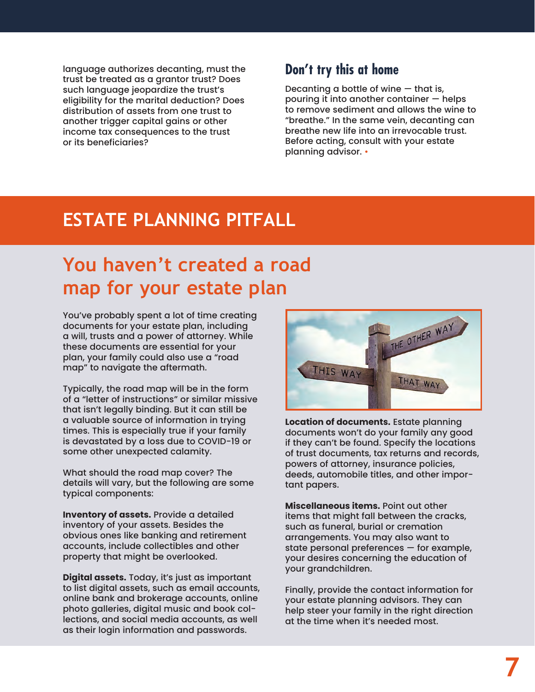language authorizes decanting, must the trust be treated as a grantor trust? Does such language jeopardize the trust's eligibility for the marital deduction? Does distribution of assets from one trust to another trigger capital gains or other income tax consequences to the trust or its beneficiaries?

#### **Don't try this at home**

Decanting a bottle of wine  $-$  that is, pouring it into another container — helps to remove sediment and allows the wine to "breathe." In the same vein, decanting can breathe new life into an irrevocable trust. Before acting, consult with your estate planning advisor. •

### **ESTATE PLANNING PITFALL**

### **You haven't created a road map for your estate plan**

You've probably spent a lot of time creating documents for your estate plan, including a will, trusts and a power of attorney. While these documents are essential for your plan, your family could also use a "road map" to navigate the aftermath.

Typically, the road map will be in the form of a "letter of instructions" or similar missive that isn't legally binding. But it can still be a valuable source of information in trying times. This is especially true if your family is devastated by a loss due to COVID-19 or some other unexpected calamity.

What should the road map cover? The details will vary, but the following are some typical components:

**Inventory of assets.** Provide a detailed inventory of your assets. Besides the obvious ones like banking and retirement accounts, include collectibles and other property that might be overlooked.

**Digital assets.** Today, it's just as important to list digital assets, such as email accounts, online bank and brokerage accounts, online photo galleries, digital music and book collections, and social media accounts, as well as their login information and passwords.



**Location of documents.** Estate planning documents won't do your family any good if they can't be found. Specify the locations of trust documents, tax returns and records, powers of attorney, insurance policies, deeds, automobile titles, and other important papers.

**Miscellaneous items.** Point out other items that might fall between the cracks, such as funeral, burial or cremation arrangements. You may also want to state personal preferences — for example, your desires concerning the education of your grandchildren.

Finally, provide the contact information for your estate planning advisors. They can help steer your family in the right direction at the time when it's needed most.